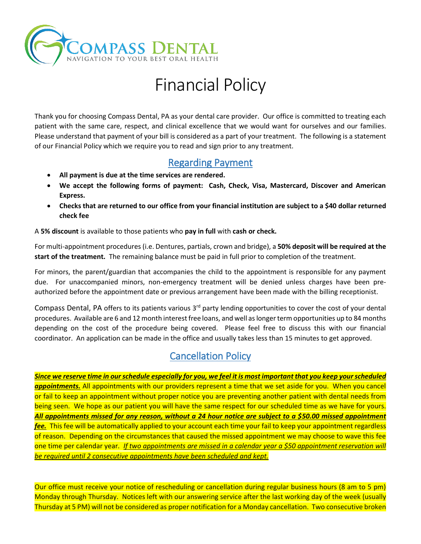

# Financial Policy

Thank you for choosing Compass Dental, PA as your dental care provider. Our office is committed to treating each patient with the same care, respect, and clinical excellence that we would want for ourselves and our families. Please understand that payment of your bill is considered as a part of your treatment. The following is a statement of our Financial Policy which we require you to read and sign prior to any treatment.

#### Regarding Payment

- **All payment is due at the time services are rendered.**
- **We accept the following forms of payment: Cash, Check, Visa, Mastercard, Discover and American Express.**
- **Checks that are returned to our office from your financial institution are subject to a \$40 dollar returned check fee**

A **5% discount** is available to those patients who **pay in full** with **cash or check.**

For multi-appointment procedures (i.e. Dentures, partials, crown and bridge), a **50% deposit will be required at the start of the treatment.** The remaining balance must be paid in full prior to completion of the treatment.

For minors, the parent/guardian that accompanies the child to the appointment is responsible for any payment due. For unaccompanied minors, non-emergency treatment will be denied unless charges have been preauthorized before the appointment date or previous arrangement have been made with the billing receptionist.

Compass Dental, PA offers to its patients various 3<sup>rd</sup> party lending opportunities to cover the cost of your dental procedures. Available are 6 and 12 month interest free loans, and well as longer term opportunities up to 84 months depending on the cost of the procedure being covered. Please feel free to discuss this with our financial coordinator. An application can be made in the office and usually takes less than 15 minutes to get approved.

## Cancellation Policy

*Since we reserve time in our schedule especially for you, we feel it is most important that you keep your scheduled appointments.* All appointments with our providers represent a time that we set aside for you. When you cancel or fail to keep an appointment without proper notice you are preventing another patient with dental needs from being seen. We hope as our patient you will have the same respect for our scheduled time as we have for yours. *All appointments missed for any reason, without a 24 hour notice are subject to a \$50.00 missed appointment fee.* This fee will be automatically applied to your account each time your fail to keep your appointment regardless of reason. Depending on the circumstances that caused the missed appointment we may choose to wave this fee one time per calendar year. *If two appointments are missed in a calendar year a \$50 appointment reservation will be required until 2 consecutive appointments have been scheduled and kept.*

Our office must receive your notice of rescheduling or cancellation during regular business hours (8 am to 5 pm) Monday through Thursday. Notices left with our answering service after the last working day of the week (usually Thursday at 5 PM) will not be considered as proper notification for a Monday cancellation. Two consecutive broken